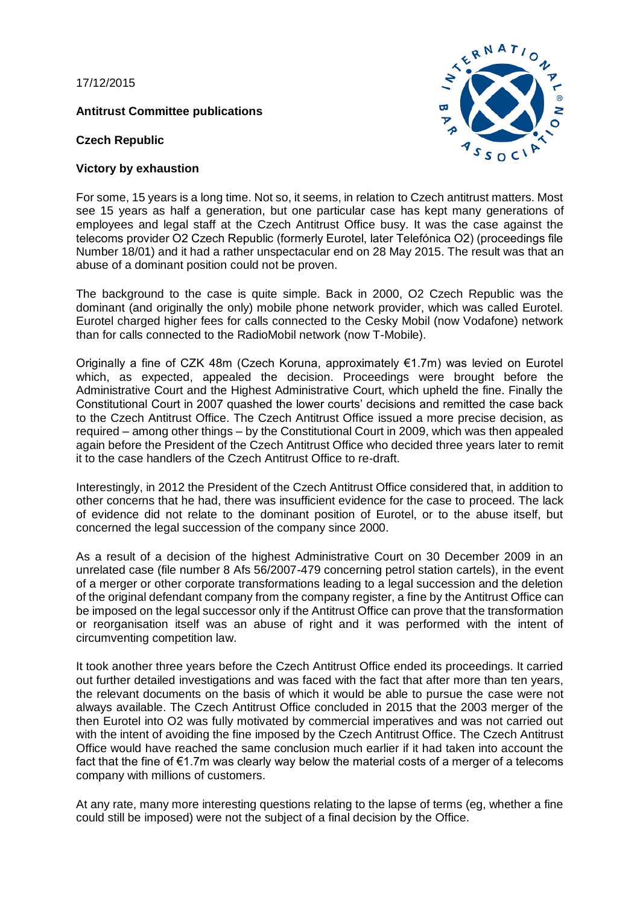17/12/2015

**[Antitrust Committee publications](http://www.ibanet.org/Regional_Fora/Regional_Fora/African_Reg_Forum/Publications.aspx)**

**Czech Republic**

## **Victory by exhaustion**



For some, 15 years is a long time. Not so, it seems, in relation to Czech antitrust matters. Most see 15 years as half a generation, but one particular case has kept many generations of employees and legal staff at the Czech Antitrust Office busy. It was the case against the telecoms provider O2 Czech Republic (formerly Eurotel, later Telefónica O2) (proceedings file Number 18/01) and it had a rather unspectacular end on 28 May 2015. The result was that an abuse of a dominant position could not be proven.

The background to the case is quite simple. Back in 2000, O2 Czech Republic was the dominant (and originally the only) mobile phone network provider, which was called Eurotel. Eurotel charged higher fees for calls connected to the Cesky Mobil (now Vodafone) network than for calls connected to the RadioMobil network (now T-Mobile).

Originally a fine of CZK 48m (Czech Koruna, approximately €1.7m) was levied on Eurotel which, as expected, appealed the decision. Proceedings were brought before the Administrative Court and the Highest Administrative Court, which upheld the fine. Finally the Constitutional Court in 2007 quashed the lower courts' decisions and remitted the case back to the Czech Antitrust Office. The Czech Antitrust Office issued a more precise decision, as required – among other things – by the Constitutional Court in 2009, which was then appealed again before the President of the Czech Antitrust Office who decided three years later to remit it to the case handlers of the Czech Antitrust Office to re-draft.

Interestingly, in 2012 the President of the Czech Antitrust Office considered that, in addition to other concerns that he had, there was insufficient evidence for the case to proceed. The lack of evidence did not relate to the dominant position of Eurotel, or to the abuse itself, but concerned the legal succession of the company since 2000.

As a result of a decision of the highest Administrative Court on 30 December 2009 in an unrelated case (file number 8 Afs 56/2007-479 concerning petrol station cartels), in the event of a merger or other corporate transformations leading to a legal succession and the deletion of the original defendant company from the company register, a fine by the Antitrust Office can be imposed on the legal successor only if the Antitrust Office can prove that the transformation or reorganisation itself was an abuse of right and it was performed with the intent of circumventing competition law.

It took another three years before the Czech Antitrust Office ended its proceedings. It carried out further detailed investigations and was faced with the fact that after more than ten years, the relevant documents on the basis of which it would be able to pursue the case were not always available. The Czech Antitrust Office concluded in 2015 that the 2003 merger of the then Eurotel into O2 was fully motivated by commercial imperatives and was not carried out with the intent of avoiding the fine imposed by the Czech Antitrust Office. The Czech Antitrust Office would have reached the same conclusion much earlier if it had taken into account the fact that the fine of €1.7m was clearly way below the material costs of a merger of a telecoms company with millions of customers.

At any rate, many more interesting questions relating to the lapse of terms (eg, whether a fine could still be imposed) were not the subject of a final decision by the Office.